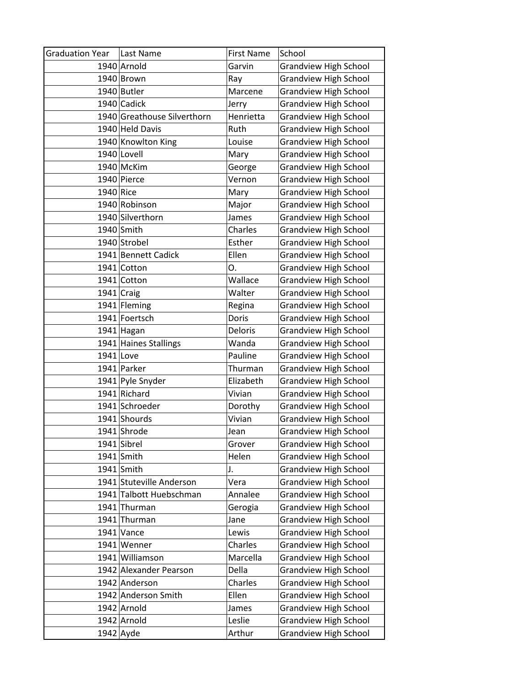| <b>Graduation Year</b> | Last Name                   | <b>First Name</b> | School                       |
|------------------------|-----------------------------|-------------------|------------------------------|
|                        | 1940 Arnold                 | Garvin            | <b>Grandview High School</b> |
|                        | 1940 Brown                  | Ray               | <b>Grandview High School</b> |
|                        | 1940 Butler                 | Marcene           | <b>Grandview High School</b> |
|                        | 1940 Cadick                 | Jerry             | <b>Grandview High School</b> |
|                        | 1940 Greathouse Silverthorn | Henrietta         | <b>Grandview High School</b> |
|                        | 1940 Held Davis             | Ruth              | <b>Grandview High School</b> |
|                        | 1940 Knowlton King          | Louise            | <b>Grandview High School</b> |
|                        | 1940 Lovell                 | Mary              | <b>Grandview High School</b> |
|                        | 1940 McKim                  | George            | <b>Grandview High School</b> |
|                        | 1940 Pierce                 | Vernon            | <b>Grandview High School</b> |
| 1940 Rice              |                             | Mary              | Grandview High School        |
|                        | 1940 Robinson               | Major             | <b>Grandview High School</b> |
|                        | 1940 Silverthorn            | James             | <b>Grandview High School</b> |
|                        | 1940 Smith                  | Charles           | <b>Grandview High School</b> |
|                        | 1940 Strobel                | Esther            | <b>Grandview High School</b> |
|                        | 1941 Bennett Cadick         | Ellen             | <b>Grandview High School</b> |
|                        | 1941 Cotton                 | О.                | <b>Grandview High School</b> |
|                        | 1941 Cotton                 | Wallace           | <b>Grandview High School</b> |
|                        | $1941$ Craig                | Walter            | <b>Grandview High School</b> |
|                        | 1941 Fleming                | Regina            | <b>Grandview High School</b> |
|                        | 1941 Foertsch               | Doris             | <b>Grandview High School</b> |
|                        | 1941 Hagan                  | Deloris           | <b>Grandview High School</b> |
|                        | 1941 Haines Stallings       | Wanda             | <b>Grandview High School</b> |
| $1941$ Love            |                             | Pauline           | <b>Grandview High School</b> |
|                        | 1941 Parker                 | Thurman           | <b>Grandview High School</b> |
|                        | 1941 Pyle Snyder            | Elizabeth         | <b>Grandview High School</b> |
|                        | 1941 Richard                | Vivian            | <b>Grandview High School</b> |
|                        | 1941 Schroeder              | Dorothy           | <b>Grandview High School</b> |
|                        | 1941 Shourds                | Vivian            | <b>Grandview High School</b> |
|                        | 1941 Shrode                 | Jean              | <b>Grandview High School</b> |
|                        | 1941 Sibrel                 | Grover            | <b>Grandview High School</b> |
|                        | $1941$ Smith                | Helen             | <b>Grandview High School</b> |
|                        | 1941 Smith                  | J.                | <b>Grandview High School</b> |
|                        | 1941 Stuteville Anderson    | Vera              | <b>Grandview High School</b> |
|                        | 1941 Talbott Huebschman     | Annalee           | <b>Grandview High School</b> |
|                        | 1941 Thurman                | Gerogia           | <b>Grandview High School</b> |
|                        | 1941 Thurman                | Jane              | Grandview High School        |
|                        | $1941$ Vance                | Lewis             | <b>Grandview High School</b> |
|                        | 1941 Wenner                 | Charles           | <b>Grandview High School</b> |
|                        | 1941 Williamson             | Marcella          | <b>Grandview High School</b> |
|                        | 1942 Alexander Pearson      | Della             | <b>Grandview High School</b> |
|                        | 1942 Anderson               | Charles           | Grandview High School        |
|                        | 1942 Anderson Smith         | Ellen             | <b>Grandview High School</b> |
|                        | 1942 Arnold                 | James             | <b>Grandview High School</b> |
|                        | 1942 Arnold                 | Leslie            | <b>Grandview High School</b> |
|                        | $1942$ Ayde                 | Arthur            | <b>Grandview High School</b> |